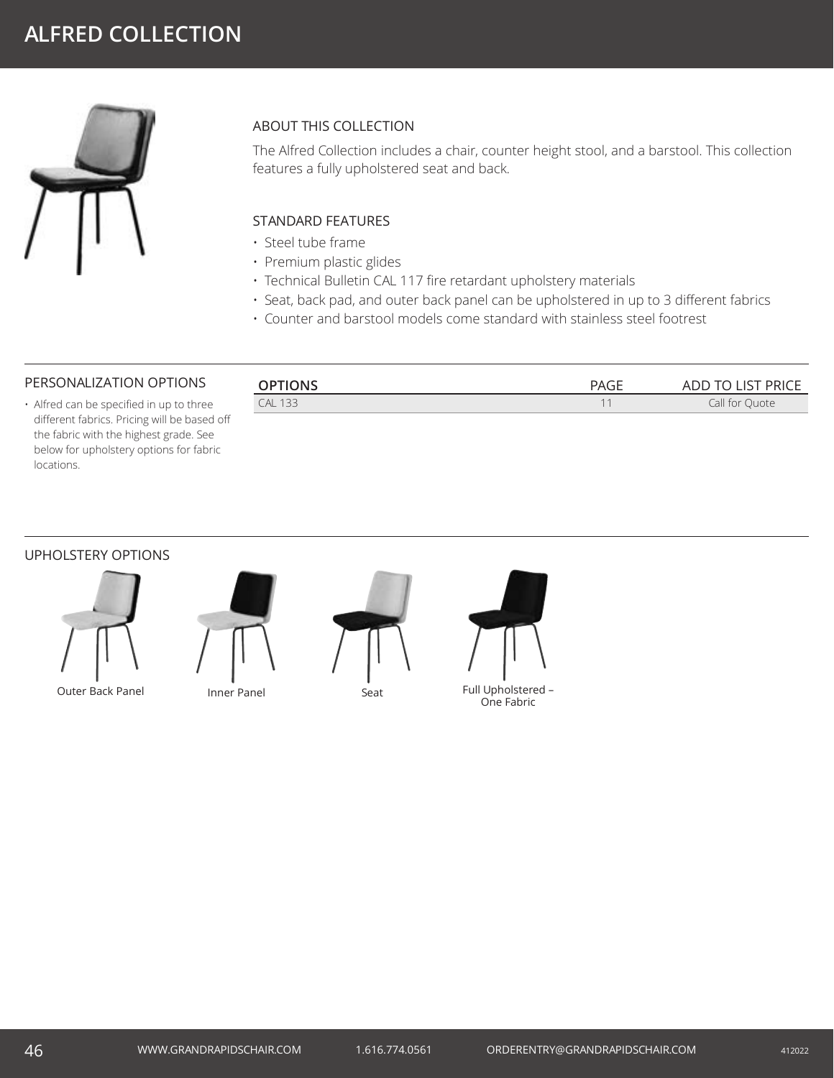

# ABOUT THIS COLLECTION

The Alfred Collection includes a chair, counter height stool, and a barstool. This collection features a fully upholstered seat and back.

## STANDARD FEATURES

- Steel tube frame
- Premium plastic glides
- Technical Bulletin CAL 117 fire retardant upholstery materials
- Seat, back pad, and outer back panel can be upholstered in up to 3 different fabrics
- Counter and barstool models come standard with stainless steel footrest

#### PERSONALIZATION OPTIONS

• Alfred can be specified in up to three different fabrics. Pricing will be based off the fabric with the highest grade. See below for upholstery options for fabric locations.

| <b>OPTIONS</b> | PAGE | ADD TO LIST PRICE |
|----------------|------|-------------------|
| <b>CAL 133</b> |      | Call for Quote    |
|                |      |                   |

### UPHOLSTERY OPTIONS









46 WWW.GRANDRAPIDSCHAIR.COM 1.616.774.0561 ORDERENTRY@GRANDRAPIDSCHAIR.COM <sup>412022</sup>